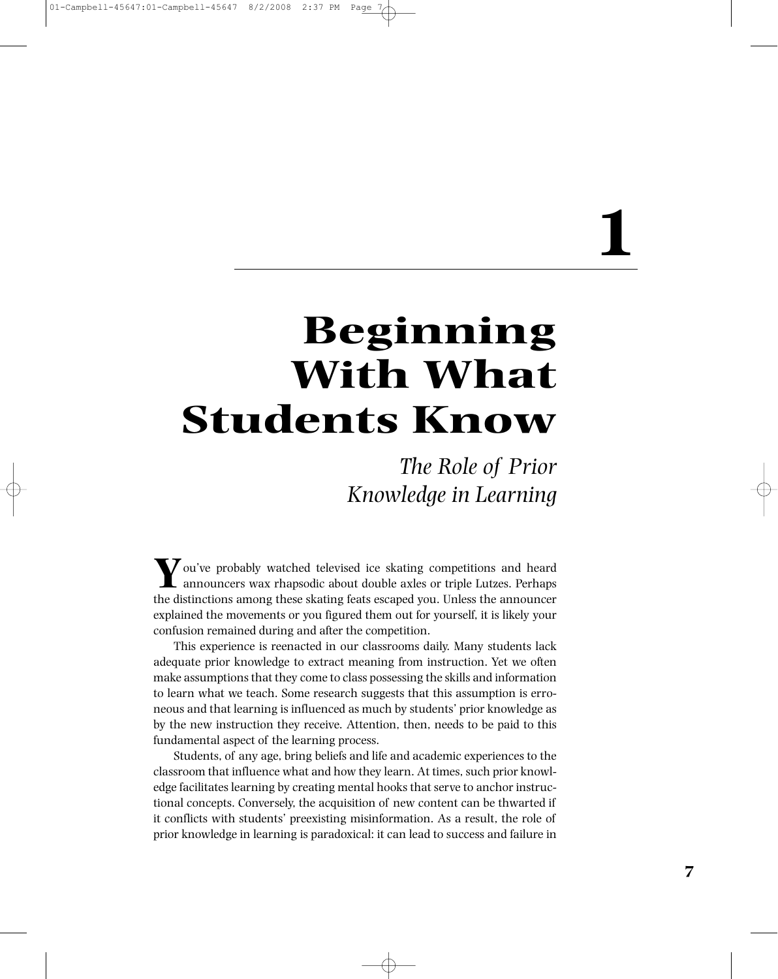# **1**

# **Beginning With What Students Know**

*The Role of Prior Knowledge in Learning*

**Y**ou've probably watched televised ice skating competitions and heard announcers wax rhapsodic about double axles or triple Lutzes. Perhaps the distinctions among these skating feats escaped you. Unless the announcer explained the movements or you figured them out for yourself, it is likely your confusion remained during and after the competition.

This experience is reenacted in our classrooms daily. Many students lack adequate prior knowledge to extract meaning from instruction. Yet we often make assumptions that they come to class possessing the skills and information to learn what we teach. Some research suggests that this assumption is erroneous and that learning is influenced as much by students' prior knowledge as by the new instruction they receive. Attention, then, needs to be paid to this fundamental aspect of the learning process.

Students, of any age, bring beliefs and life and academic experiences to the classroom that influence what and how they learn. At times, such prior knowledge facilitates learning by creating mental hooks that serve to anchor instructional concepts. Conversely, the acquisition of new content can be thwarted if it conflicts with students' preexisting misinformation. As a result, the role of prior knowledge in learning is paradoxical: it can lead to success and failure in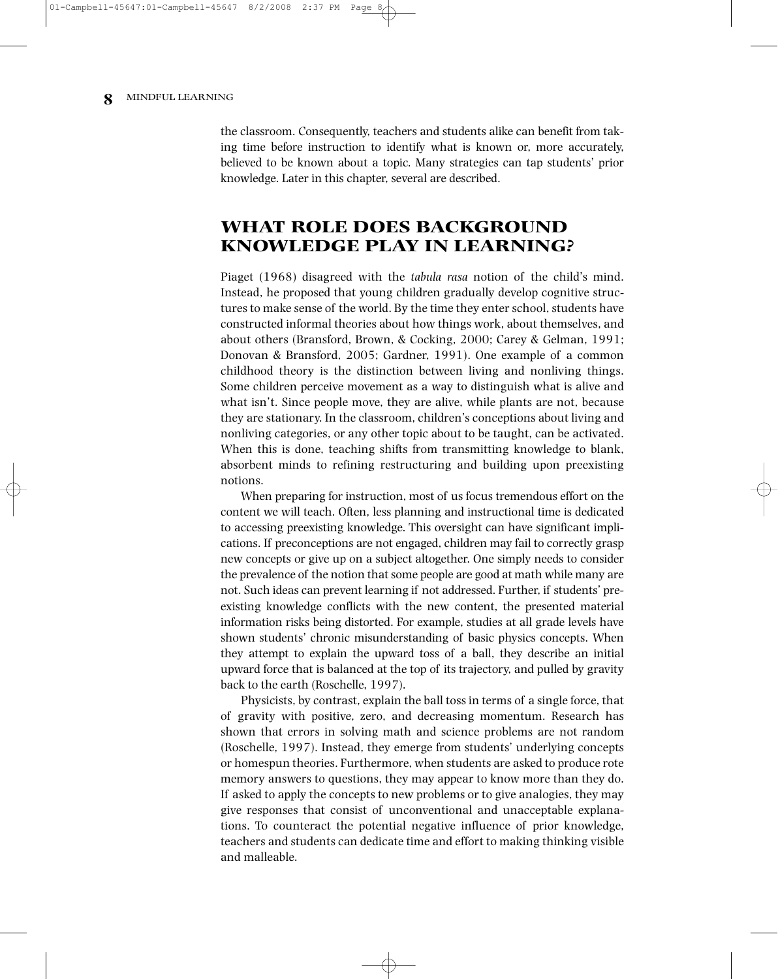the classroom. Consequently, teachers and students alike can benefit from taking time before instruction to identify what is known or, more accurately, believed to be known about a topic. Many strategies can tap students' prior knowledge. Later in this chapter, several are described.

# **WHAT ROLE DOES BACKGROUND KNOWLEDGE PLAY IN LEARNING?**

Piaget (1968) disagreed with the *tabula rasa* notion of the child's mind. Instead, he proposed that young children gradually develop cognitive structures to make sense of the world. By the time they enter school, students have constructed informal theories about how things work, about themselves, and about others (Bransford, Brown, & Cocking, 2000; Carey & Gelman, 1991; Donovan & Bransford, 2005; Gardner, 1991). One example of a common childhood theory is the distinction between living and nonliving things. Some children perceive movement as a way to distinguish what is alive and what isn't. Since people move, they are alive, while plants are not, because they are stationary. In the classroom, children's conceptions about living and nonliving categories, or any other topic about to be taught, can be activated. When this is done, teaching shifts from transmitting knowledge to blank, absorbent minds to refining restructuring and building upon preexisting notions.

When preparing for instruction, most of us focus tremendous effort on the content we will teach. Often, less planning and instructional time is dedicated to accessing preexisting knowledge. This oversight can have significant implications. If preconceptions are not engaged, children may fail to correctly grasp new concepts or give up on a subject altogether. One simply needs to consider the prevalence of the notion that some people are good at math while many are not. Such ideas can prevent learning if not addressed. Further, if students' preexisting knowledge conflicts with the new content, the presented material information risks being distorted. For example, studies at all grade levels have shown students' chronic misunderstanding of basic physics concepts. When they attempt to explain the upward toss of a ball, they describe an initial upward force that is balanced at the top of its trajectory, and pulled by gravity back to the earth (Roschelle, 1997).

Physicists, by contrast, explain the ball toss in terms of a single force, that of gravity with positive, zero, and decreasing momentum. Research has shown that errors in solving math and science problems are not random (Roschelle, 1997). Instead, they emerge from students' underlying concepts or homespun theories. Furthermore, when students are asked to produce rote memory answers to questions, they may appear to know more than they do. If asked to apply the concepts to new problems or to give analogies, they may give responses that consist of unconventional and unacceptable explanations. To counteract the potential negative influence of prior knowledge, teachers and students can dedicate time and effort to making thinking visible and malleable.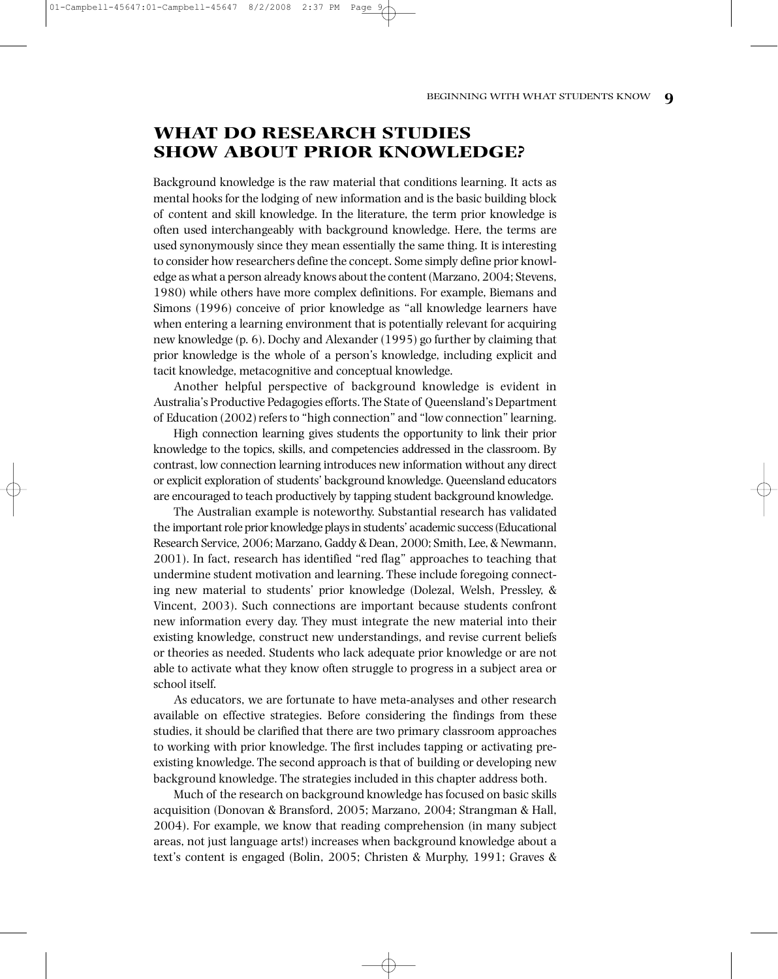#### $01-Camobel 1-45647:01-Camobel 1-4564$

# **WHAT DO RESEARCH STUDIES SHOW ABOUT PRIOR KNOWLEDGE?**

Background knowledge is the raw material that conditions learning. It acts as mental hooks for the lodging of new information and is the basic building block of content and skill knowledge. In the literature, the term prior knowledge is often used interchangeably with background knowledge. Here, the terms are used synonymously since they mean essentially the same thing. It is interesting to consider how researchers define the concept. Some simply define prior knowledge as what a person already knows about the content (Marzano, 2004; Stevens, 1980) while others have more complex definitions. For example, Biemans and Simons (1996) conceive of prior knowledge as "all knowledge learners have when entering a learning environment that is potentially relevant for acquiring new knowledge (p. 6). Dochy and Alexander (1995) go further by claiming that prior knowledge is the whole of a person's knowledge, including explicit and tacit knowledge, metacognitive and conceptual knowledge.

Another helpful perspective of background knowledge is evident in Australia's Productive Pedagogies efforts.The State of Queensland's Department of Education (2002) refers to "high connection" and "low connection" learning.

High connection learning gives students the opportunity to link their prior knowledge to the topics, skills, and competencies addressed in the classroom. By contrast, low connection learning introduces new information without any direct or explicit exploration of students' background knowledge. Queensland educators are encouraged to teach productively by tapping student background knowledge.

The Australian example is noteworthy. Substantial research has validated the important role prior knowledge plays in students' academic success (Educational Research Service, 2006; Marzano, Gaddy & Dean, 2000; Smith, Lee, & Newmann, 2001). In fact, research has identified "red flag" approaches to teaching that undermine student motivation and learning. These include foregoing connecting new material to students' prior knowledge (Dolezal, Welsh, Pressley, & Vincent, 2003). Such connections are important because students confront new information every day. They must integrate the new material into their existing knowledge, construct new understandings, and revise current beliefs or theories as needed. Students who lack adequate prior knowledge or are not able to activate what they know often struggle to progress in a subject area or school itself.

As educators, we are fortunate to have meta-analyses and other research available on effective strategies. Before considering the findings from these studies, it should be clarified that there are two primary classroom approaches to working with prior knowledge. The first includes tapping or activating preexisting knowledge. The second approach is that of building or developing new background knowledge. The strategies included in this chapter address both.

Much of the research on background knowledge has focused on basic skills acquisition (Donovan & Bransford, 2005; Marzano, 2004; Strangman & Hall, 2004). For example, we know that reading comprehension (in many subject areas, not just language arts!) increases when background knowledge about a text's content is engaged (Bolin, 2005; Christen & Murphy, 1991; Graves &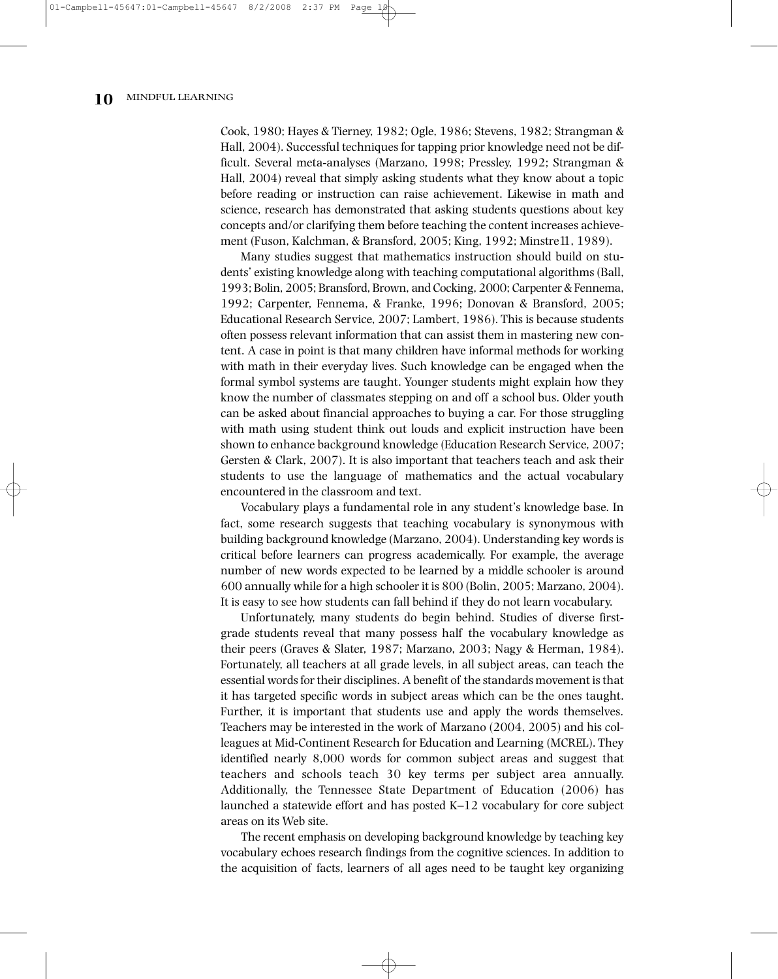Cook, 1980; Hayes & Tierney, 1982; Ogle, 1986; Stevens, 1982; Strangman & Hall, 2004). Successful techniques for tapping prior knowledge need not be difficult. Several meta-analyses (Marzano, 1998; Pressley, 1992; Strangman & Hall, 2004) reveal that simply asking students what they know about a topic before reading or instruction can raise achievement. Likewise in math and science, research has demonstrated that asking students questions about key concepts and/or clarifying them before teaching the content increases achievement (Fuson, Kalchman, & Bransford, 2005; King, 1992; Minstre11, 1989).

Many studies suggest that mathematics instruction should build on students' existing knowledge along with teaching computational algorithms (Ball, 1993; Bolin, 2005; Bransford, Brown, and Cocking, 2000; Carpenter & Fennema, 1992; Carpenter, Fennema, & Franke, 1996; Donovan & Bransford, 2005; Educational Research Service, 2007; Lambert, 1986). This is because students often possess relevant information that can assist them in mastering new content. A case in point is that many children have informal methods for working with math in their everyday lives. Such knowledge can be engaged when the formal symbol systems are taught. Younger students might explain how they know the number of classmates stepping on and off a school bus. Older youth can be asked about financial approaches to buying a car. For those struggling with math using student think out louds and explicit instruction have been shown to enhance background knowledge (Education Research Service, 2007; Gersten & Clark, 2007). It is also important that teachers teach and ask their students to use the language of mathematics and the actual vocabulary encountered in the classroom and text.

Vocabulary plays a fundamental role in any student's knowledge base. In fact, some research suggests that teaching vocabulary is synonymous with building background knowledge (Marzano, 2004). Understanding key words is critical before learners can progress academically. For example, the average number of new words expected to be learned by a middle schooler is around 600 annually while for a high schooler it is 800 (Bolin, 2005; Marzano, 2004). It is easy to see how students can fall behind if they do not learn vocabulary.

Unfortunately, many students do begin behind. Studies of diverse firstgrade students reveal that many possess half the vocabulary knowledge as their peers (Graves & Slater, 1987; Marzano, 2003; Nagy & Herman, 1984). Fortunately, all teachers at all grade levels, in all subject areas, can teach the essential words for their disciplines. A benefit of the standards movement is that it has targeted specific words in subject areas which can be the ones taught. Further, it is important that students use and apply the words themselves. Teachers may be interested in the work of Marzano (2004, 2005) and his colleagues at Mid-Continent Research for Education and Learning (MCREL). They identified nearly 8,000 words for common subject areas and suggest that teachers and schools teach 30 key terms per subject area annually. Additionally, the Tennessee State Department of Education (2006) has launched a statewide effort and has posted K–12 vocabulary for core subject areas on its Web site.

The recent emphasis on developing background knowledge by teaching key vocabulary echoes research findings from the cognitive sciences. In addition to the acquisition of facts, learners of all ages need to be taught key organizing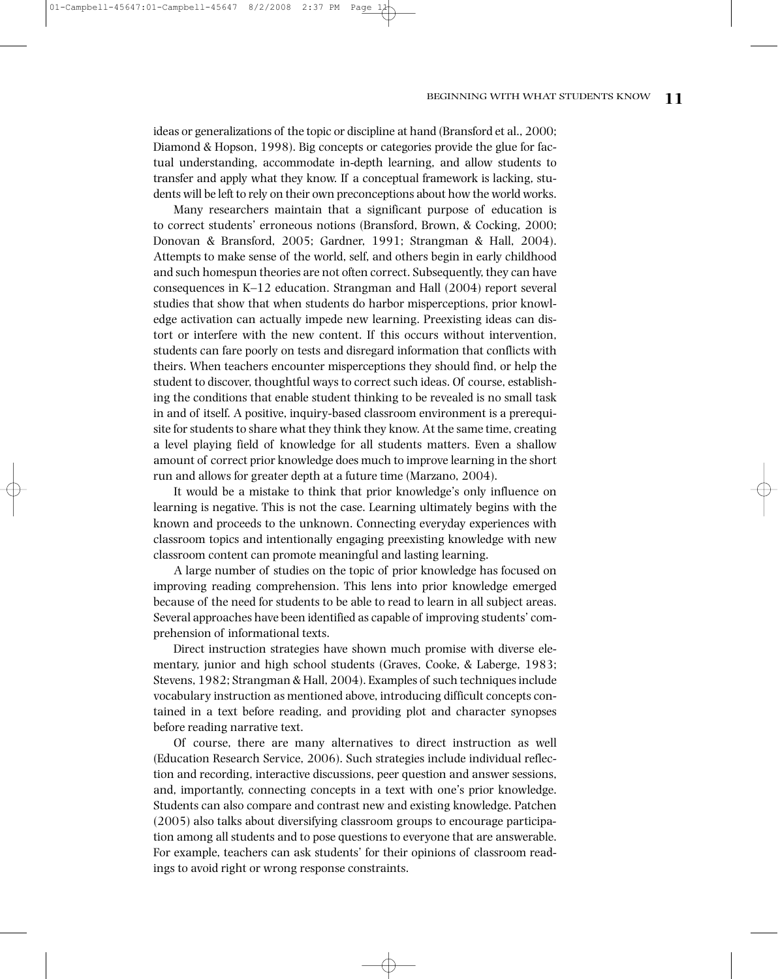#### BEGINNING WITH WHAT STUDENTS KNOW **11**

 $01-Camobel 1-45647:01-Camobel 1-$ 

ideas or generalizations of the topic or discipline at hand (Bransford et al., 2000; Diamond & Hopson, 1998). Big concepts or categories provide the glue for factual understanding, accommodate in-depth learning, and allow students to transfer and apply what they know. If a conceptual framework is lacking, students will be left to rely on their own preconceptions about how the world works.

Many researchers maintain that a significant purpose of education is to correct students' erroneous notions (Bransford, Brown, & Cocking, 2000; Donovan & Bransford, 2005; Gardner, 1991; Strangman & Hall, 2004). Attempts to make sense of the world, self, and others begin in early childhood and such homespun theories are not often correct. Subsequently, they can have consequences in K–12 education. Strangman and Hall (2004) report several studies that show that when students do harbor misperceptions, prior knowledge activation can actually impede new learning. Preexisting ideas can distort or interfere with the new content. If this occurs without intervention, students can fare poorly on tests and disregard information that conflicts with theirs. When teachers encounter misperceptions they should find, or help the student to discover, thoughtful ways to correct such ideas. Of course, establishing the conditions that enable student thinking to be revealed is no small task in and of itself. A positive, inquiry-based classroom environment is a prerequisite for students to share what they think they know. At the same time, creating a level playing field of knowledge for all students matters. Even a shallow amount of correct prior knowledge does much to improve learning in the short run and allows for greater depth at a future time (Marzano, 2004).

It would be a mistake to think that prior knowledge's only influence on learning is negative. This is not the case. Learning ultimately begins with the known and proceeds to the unknown. Connecting everyday experiences with classroom topics and intentionally engaging preexisting knowledge with new classroom content can promote meaningful and lasting learning.

A large number of studies on the topic of prior knowledge has focused on improving reading comprehension. This lens into prior knowledge emerged because of the need for students to be able to read to learn in all subject areas. Several approaches have been identified as capable of improving students' comprehension of informational texts.

Direct instruction strategies have shown much promise with diverse elementary, junior and high school students (Graves, Cooke, & Laberge, 1983; Stevens, 1982; Strangman & Hall, 2004). Examples of such techniques include vocabulary instruction as mentioned above, introducing difficult concepts contained in a text before reading, and providing plot and character synopses before reading narrative text.

Of course, there are many alternatives to direct instruction as well (Education Research Service, 2006). Such strategies include individual reflection and recording, interactive discussions, peer question and answer sessions, and, importantly, connecting concepts in a text with one's prior knowledge. Students can also compare and contrast new and existing knowledge. Patchen (2005) also talks about diversifying classroom groups to encourage participation among all students and to pose questions to everyone that are answerable. For example, teachers can ask students' for their opinions of classroom readings to avoid right or wrong response constraints.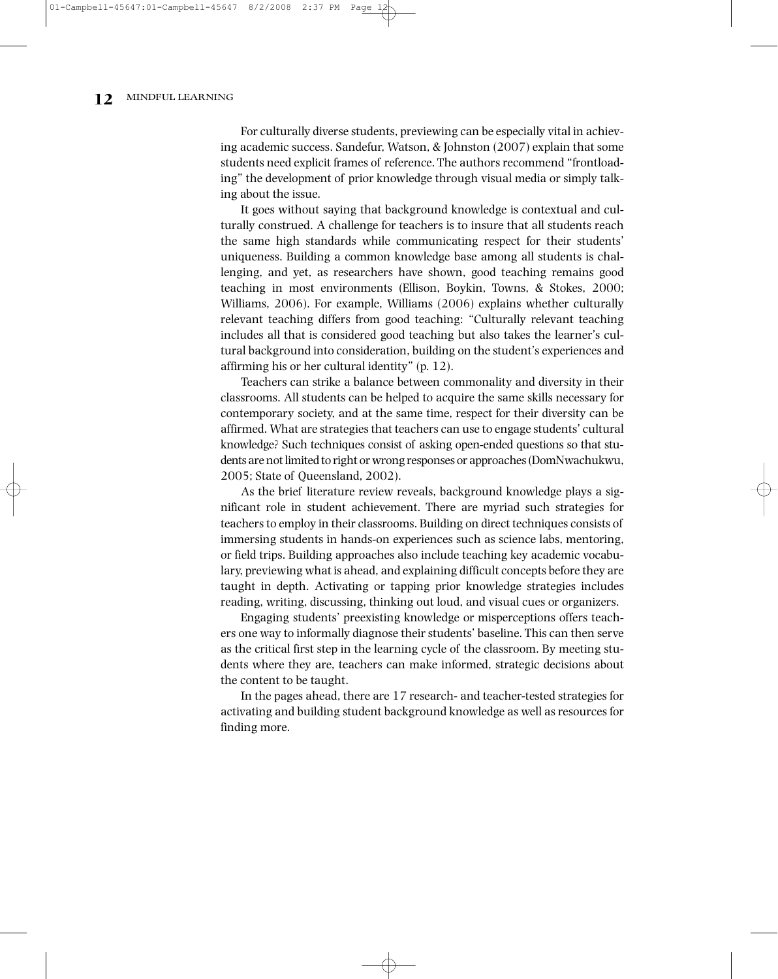For culturally diverse students, previewing can be especially vital in achieving academic success. Sandefur, Watson, & Johnston (2007) explain that some students need explicit frames of reference. The authors recommend "frontloading" the development of prior knowledge through visual media or simply talking about the issue.

It goes without saying that background knowledge is contextual and culturally construed. A challenge for teachers is to insure that all students reach the same high standards while communicating respect for their students' uniqueness. Building a common knowledge base among all students is challenging, and yet, as researchers have shown, good teaching remains good teaching in most environments (Ellison, Boykin, Towns, & Stokes, 2000; Williams, 2006). For example, Williams (2006) explains whether culturally relevant teaching differs from good teaching: "Culturally relevant teaching includes all that is considered good teaching but also takes the learner's cultural background into consideration, building on the student's experiences and affirming his or her cultural identity" (p. 12).

Teachers can strike a balance between commonality and diversity in their classrooms. All students can be helped to acquire the same skills necessary for contemporary society, and at the same time, respect for their diversity can be affirmed. What are strategies that teachers can use to engage students' cultural knowledge? Such techniques consist of asking open-ended questions so that students are not limited to right or wrong responses or approaches (DomNwachukwu, 2005; State of Queensland, 2002).

As the brief literature review reveals, background knowledge plays a significant role in student achievement. There are myriad such strategies for teachers to employ in their classrooms. Building on direct techniques consists of immersing students in hands-on experiences such as science labs, mentoring, or field trips. Building approaches also include teaching key academic vocabulary, previewing what is ahead, and explaining difficult concepts before they are taught in depth. Activating or tapping prior knowledge strategies includes reading, writing, discussing, thinking out loud, and visual cues or organizers.

Engaging students' preexisting knowledge or misperceptions offers teachers one way to informally diagnose their students' baseline. This can then serve as the critical first step in the learning cycle of the classroom. By meeting students where they are, teachers can make informed, strategic decisions about the content to be taught.

In the pages ahead, there are 17 research- and teacher-tested strategies for activating and building student background knowledge as well as resources for finding more.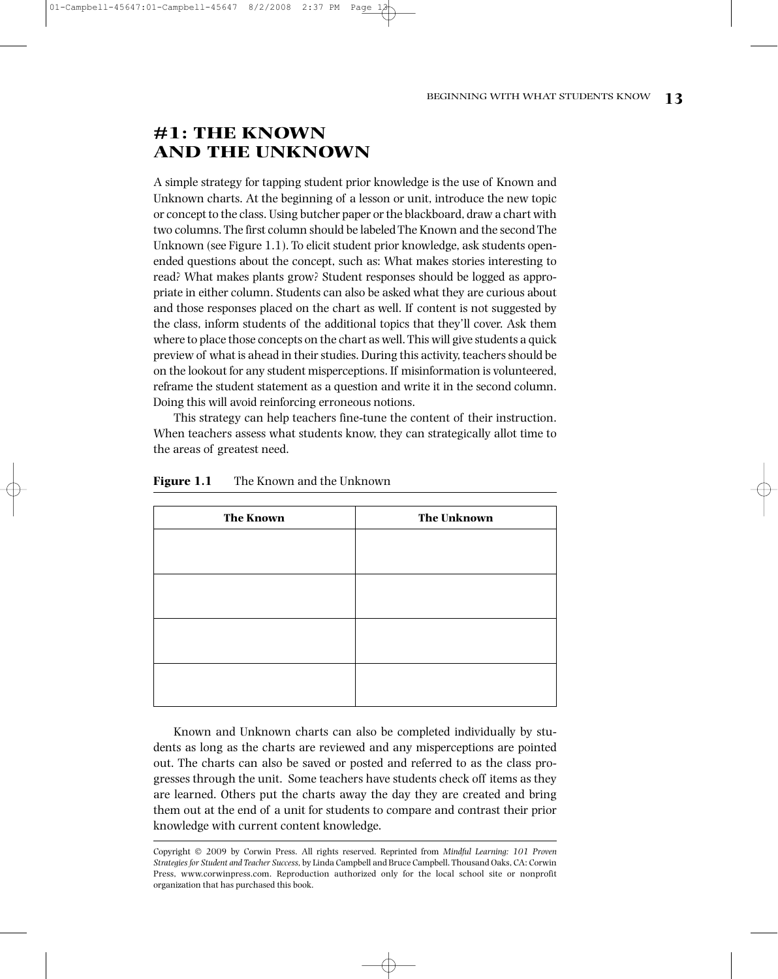# **#1: THE KNOWN AND THE UNKNOWN**

A simple strategy for tapping student prior knowledge is the use of Known and Unknown charts. At the beginning of a lesson or unit, introduce the new topic or concept to the class. Using butcher paper orthe blackboard, draw a chart with two columns. The first column should be labeled The Known and the second The Unknown (see Figure 1.1). To elicit student prior knowledge, ask students openended questions about the concept, such as: What makes stories interesting to read? What makes plants grow? Student responses should be logged as appropriate in either column. Students can also be asked what they are curious about and those responses placed on the chart as well. If content is not suggested by the class, inform students of the additional topics that they'll cover. Ask them where to place those concepts on the chart as well. This will give students a quick preview of what is ahead in theirstudies. During this activity, teachersshould be on the lookout for any student misperceptions. If misinformation is volunteered, reframe the student statement as a question and write it in the second column. Doing this will avoid reinforcing erroneous notions.

This strategy can help teachers fine-tune the content of their instruction. When teachers assess what students know, they can strategically allot time to the areas of greatest need.

| Figure 1.1 | The Known and the Unknown |  |  |
|------------|---------------------------|--|--|
|------------|---------------------------|--|--|

| <b>The Known</b> | <b>The Unknown</b> |  |
|------------------|--------------------|--|
|                  |                    |  |
|                  |                    |  |
|                  |                    |  |
|                  |                    |  |
|                  |                    |  |
|                  |                    |  |
|                  |                    |  |
|                  |                    |  |

Known and Unknown charts can also be completed individually by students as long as the charts are reviewed and any misperceptions are pointed out. The charts can also be saved or posted and referred to as the class progresses through the unit. Some teachers have students check off items as they are learned. Others put the charts away the day they are created and bring them out at the end of a unit for students to compare and contrast their prior knowledge with current content knowledge.

Copyright 2009 by Corwin Press. All rights reserved. Reprinted from *Mindful Learning: 101 Proven Strategiesfor Student and Teacher Success,* by Linda Campbell and Bruce Campbell. Thousand Oaks, CA: Corwin Press, www.corwinpress.com. Reproduction authorized only for the local school site or nonprofit organization that has purchased this book.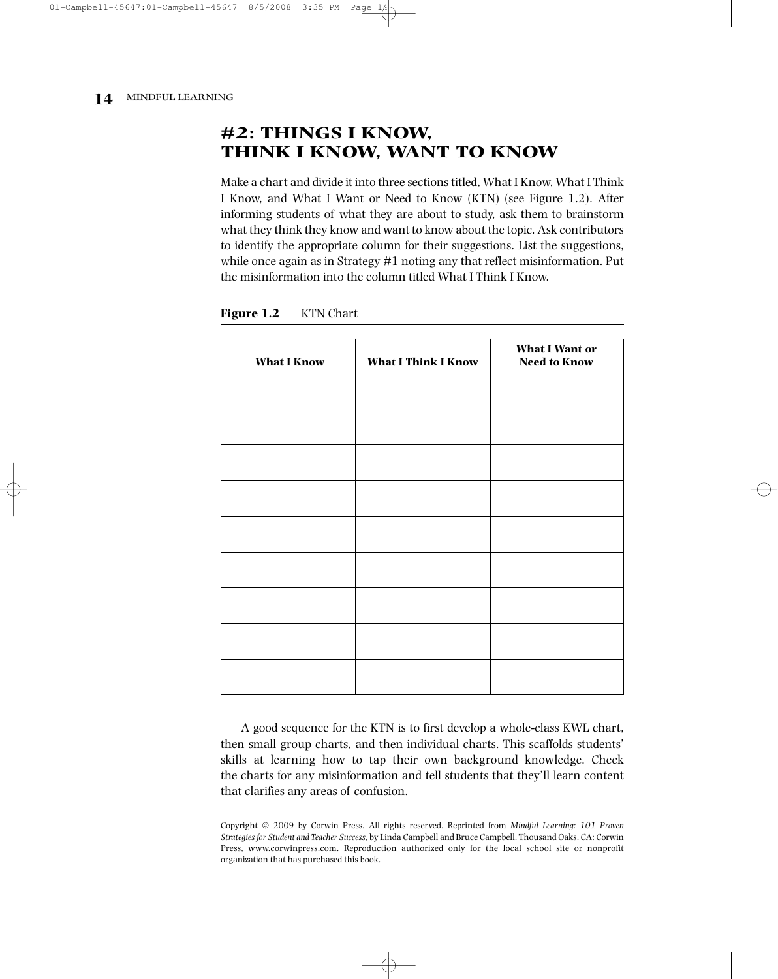# **#2: THINGS I KNOW, THINK I KNOW, WANT TO KNOW**

Make a chart and divide it into three sections titled, What I Know, What I Think I Know, and What I Want or Need to Know (KTN) (see Figure 1.2). After informing students of what they are about to study, ask them to brainstorm what they think they know and want to know about the topic. Ask contributors to identify the appropriate column for their suggestions. List the suggestions, while once again as in Strategy #1 noting any that reflect misinformation. Put the misinformation into the column titled What I Think I Know.

| <b>What I Know</b> | <b>What I Think I Know</b> | <b>What I Want or</b><br><b>Need to Know</b> |
|--------------------|----------------------------|----------------------------------------------|
|                    |                            |                                              |
|                    |                            |                                              |
|                    |                            |                                              |
|                    |                            |                                              |
|                    |                            |                                              |
|                    |                            |                                              |
|                    |                            |                                              |
|                    |                            |                                              |
|                    |                            |                                              |
|                    |                            |                                              |

**Figure 1.2** KTN Chart

A good sequence for the KTN is to first develop a whole-class KWL chart, then small group charts, and then individual charts. This scaffolds students' skills at learning how to tap their own background knowledge. Check the charts for any misinformation and tell students that they'll learn content that clarifies any areas of confusion.

Copyright 2009 by Corwin Press. All rights reserved. Reprinted from *Mindful Learning: 101 Proven Strategiesfor Student and Teacher Success,* by Linda Campbell and Bruce Campbell. Thousand Oaks, CA: Corwin Press, www.corwinpress.com. Reproduction authorized only for the local school site or nonprofit organization that has purchased this book.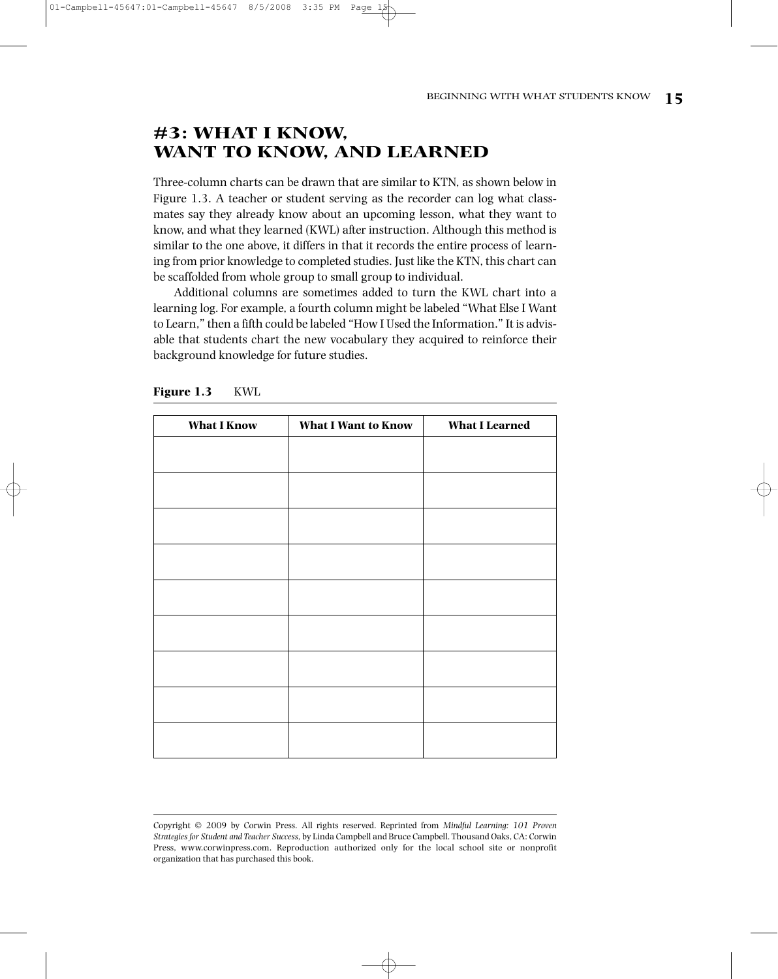# **#3: WHAT I KNOW, WANT TO KNOW, AND LEARNED**

Three-column charts can be drawn that are similar to KTN, as shown below in Figure 1.3. A teacher or student serving as the recorder can log what classmates say they already know about an upcoming lesson, what they want to know, and what they learned (KWL) after instruction. Although this method is similar to the one above, it differs in that it records the entire process of learning from prior knowledge to completed studies. Just like the KTN, this chart can be scaffolded from whole group to small group to individual.

Additional columns are sometimes added to turn the KWL chart into a learning log. For example, a fourth column might be labeled "What Else I Want to Learn," then a fifth could be labeled "How I Used the Information." It is advisable that students chart the new vocabulary they acquired to reinforce their background knowledge for future studies.

| <b>What I Know</b> | <b>What I Want to Know</b> | <b>What I Learned</b> |
|--------------------|----------------------------|-----------------------|
|                    |                            |                       |
|                    |                            |                       |
|                    |                            |                       |
|                    |                            |                       |
|                    |                            |                       |
|                    |                            |                       |
|                    |                            |                       |
|                    |                            |                       |
|                    |                            |                       |
|                    |                            |                       |
|                    |                            |                       |
|                    |                            |                       |
|                    |                            |                       |
|                    |                            |                       |
|                    |                            |                       |
|                    |                            |                       |

**Figure 1.3** KWL

Copyright 2009 by Corwin Press. All rights reserved. Reprinted from *Mindful Learning: 101 Proven Strategiesfor Student and Teacher Success,* by Linda Campbell and Bruce Campbell. Thousand Oaks, CA: Corwin Press, www.corwinpress.com. Reproduction authorized only for the local school site or nonprofit organization that has purchased this book.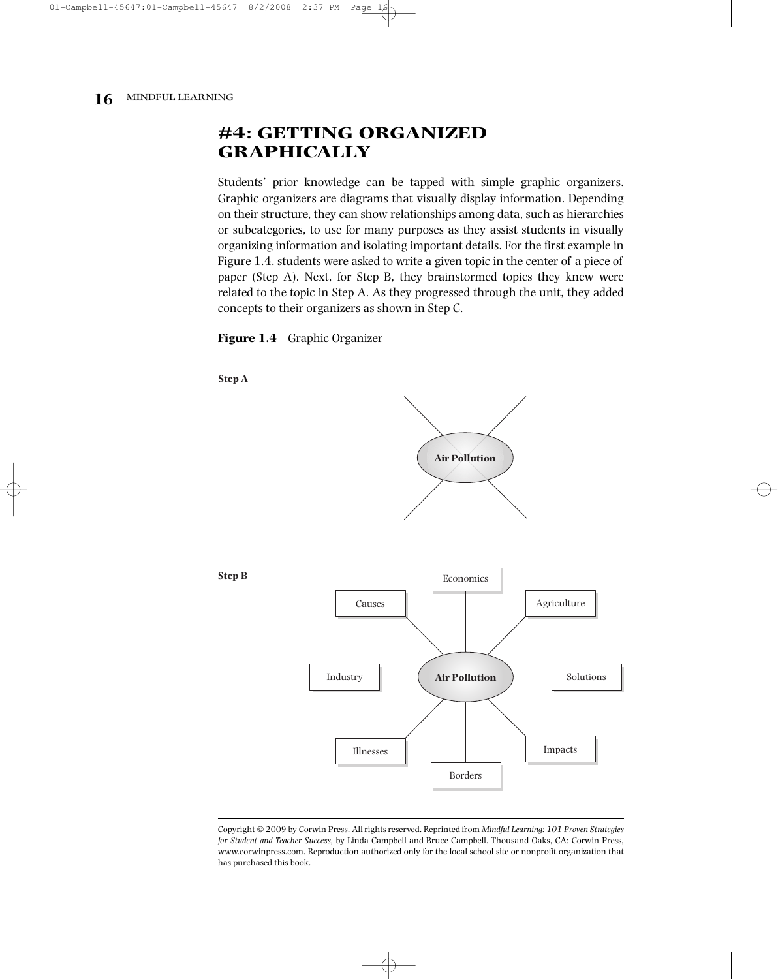# **#4: GETTING ORGANIZED GRAPHICALLY**

Students' prior knowledge can be tapped with simple graphic organizers. Graphic organizers are diagrams that visually display information. Depending on their structure, they can show relationships among data, such as hierarchies or subcategories, to use for many purposes as they assist students in visually organizing information and isolating important details. For the first example in Figure 1.4, students were asked to write a given topic in the center of a piece of paper (Step A). Next, for Step B, they brainstormed topics they knew were related to the topic in Step A. As they progressed through the unit, they added concepts to their organizers as shown in Step C.





Copyright 2009 by Corwin Press. Allrightsreserved. Reprinted from *Mindful Learning: 101 Proven Strategies for Student and Teacher Success,* by Linda Campbell and Bruce Campbell. Thousand Oaks, CA: Corwin Press, www.corwinpress.com. Reproduction authorized only for the local school site or nonprofit organization that has purchased this book.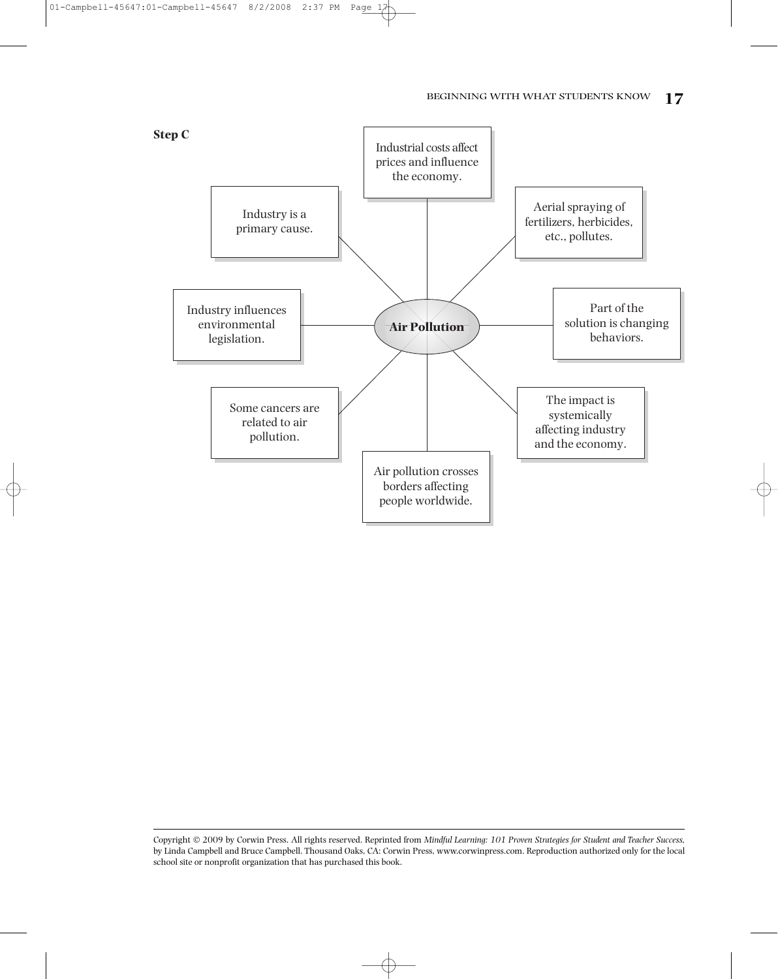## BEGINNING WITH WHAT STUDENTS KNOW **17**



01-Campbell-45647:01-Campbell-45647 8/2/2008 2:37 PM Page 17

Copyright 2009 by Corwin Press. All rights reserved. Reprinted from *Mindful Learning: 101 Proven Strategies for Student and Teacher Success,* by Linda Campbell and Bruce Campbell. Thousand Oaks, CA: Corwin Press, www.corwinpress.com. Reproduction authorized only for the local school site or nonprofit organization that has purchased this book.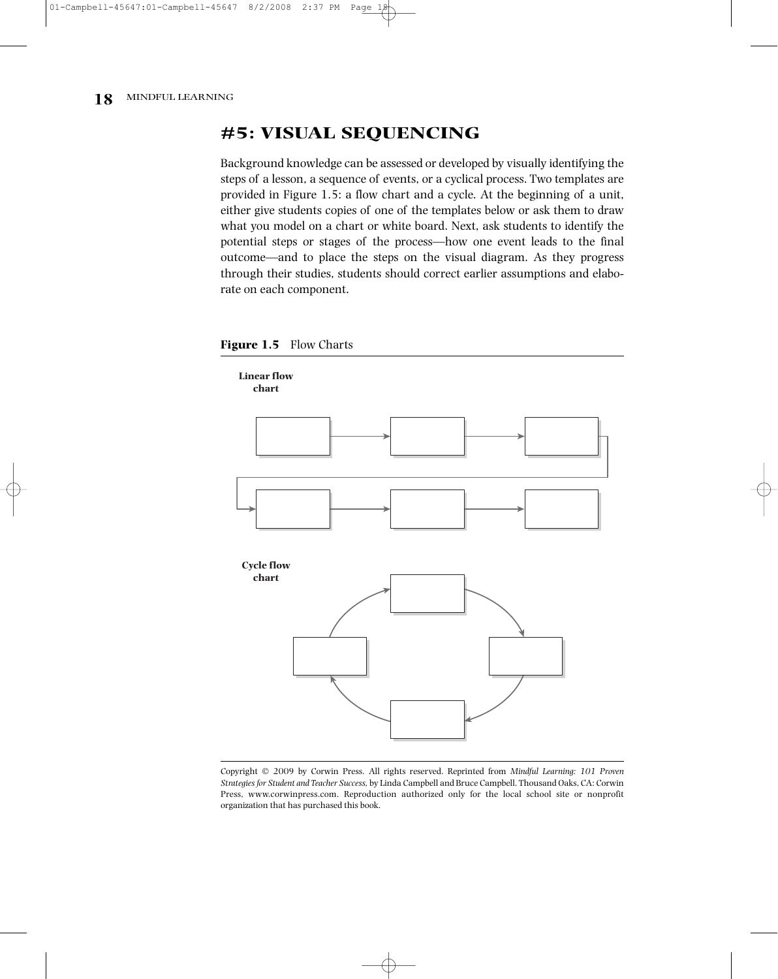# **#5: VISUAL SEQUENCING**

Background knowledge can be assessed or developed by visually identifying the steps of a lesson, a sequence of events, or a cyclical process. Two templates are provided in Figure 1.5: a flow chart and a cycle. At the beginning of a unit, either give students copies of one of the templates below or ask them to draw what you model on a chart or white board. Next, ask students to identify the potential steps or stages of the process—how one event leads to the final outcome—and to place the steps on the visual diagram. As they progress through their studies, students should correct earlier assumptions and elaborate on each component.



**Figure 1.5** Flow Charts

Copyright 2009 by Corwin Press. All rights reserved. Reprinted from *Mindful Learning: 101 Proven Strategiesfor Student and Teacher Success,* by Linda Campbell and Bruce Campbell. Thousand Oaks, CA: Corwin Press, www.corwinpress.com. Reproduction authorized only for the local school site or nonprofit organization that has purchased this book.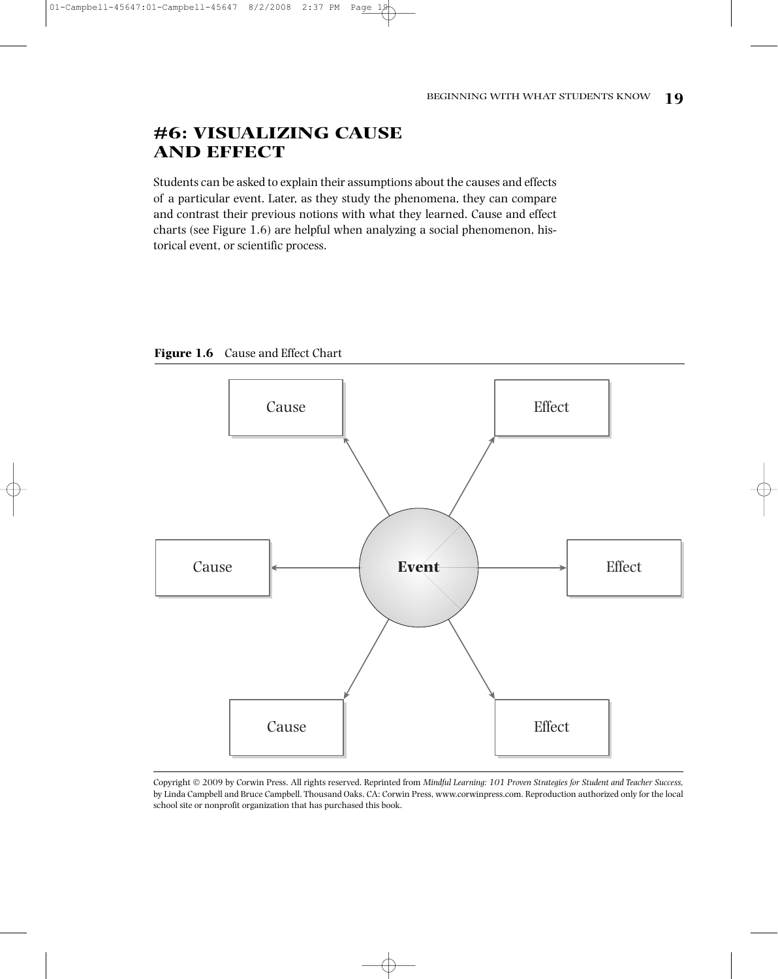# **#6: VISUALIZING CAUSE AND EFFECT**

01-Campbell-45647:01-Campbell-45647 8/2/2008 2:37 PM Page

Students can be asked to explain their assumptions about the causes and effects of a particular event. Later, as they study the phenomena, they can compare and contrast their previous notions with what they learned. Cause and effect charts (see Figure 1.6) are helpful when analyzing a social phenomenon, historical event, or scientific process.





Copyright 2009 by Corwin Press. All rights reserved. Reprinted from *Mindful Learning: 101 Proven Strategies for Student and Teacher Success,* by Linda Campbell and Bruce Campbell. Thousand Oaks, CA: Corwin Press, www.corwinpress.com. Reproduction authorized only for the local school site or nonprofit organization that has purchased this book.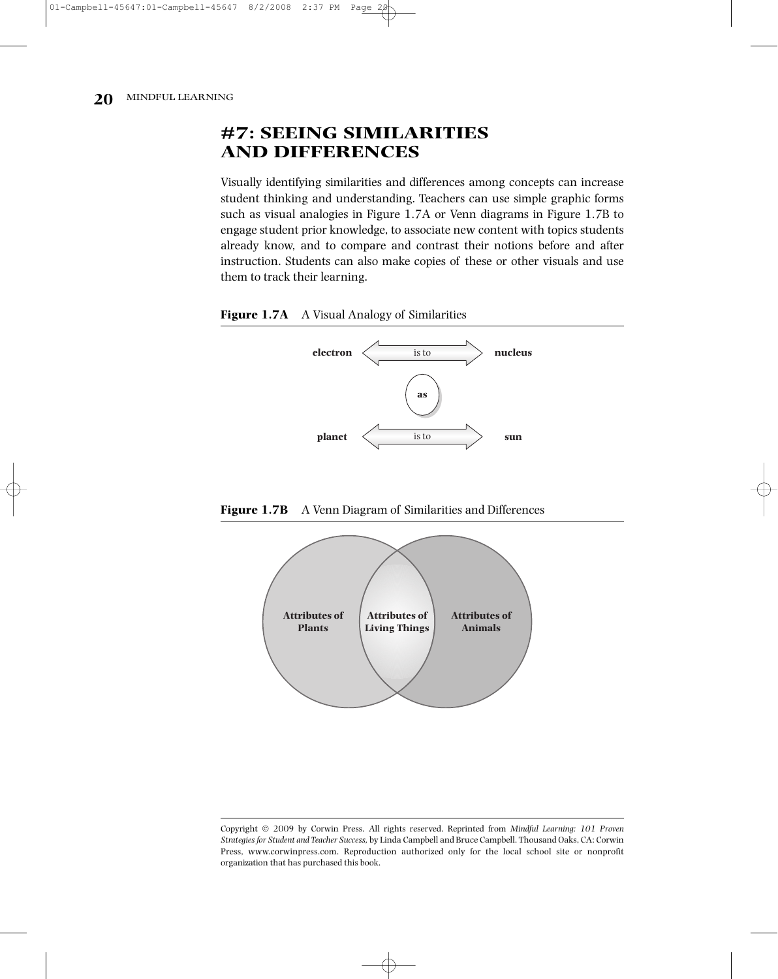# **#7: SEEING SIMILARITIES AND DIFFERENCES**

Visually identifying similarities and differences among concepts can increase student thinking and understanding. Teachers can use simple graphic forms such as visual analogies in Figure 1.7A or Venn diagrams in Figure 1.7B to engage student prior knowledge, to associate new content with topics students already know, and to compare and contrast their notions before and after instruction. Students can also make copies of these or other visuals and use them to track their learning.







**Figure 1.7B** A Venn Diagram of Similarities and Differences

Copyright 2009 by Corwin Press. All rights reserved. Reprinted from *Mindful Learning: 101 Proven Strategiesfor Student and Teacher Success,* by Linda Campbell and Bruce Campbell. Thousand Oaks, CA: Corwin Press, www.corwinpress.com. Reproduction authorized only for the local school site or nonprofit organization that has purchased this book.